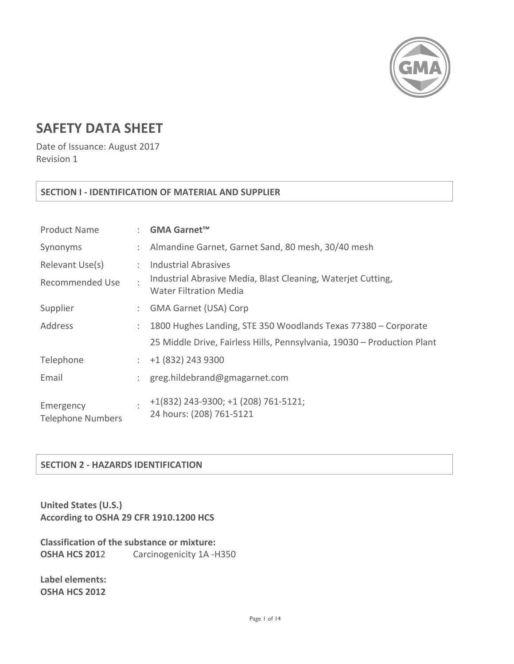

# **SAFETY DATA SHEET**

Date of Issuance: August 2017 Revision 1

#### SECTION I - IDENTIFICATION OF MATERIAL AND SUPPLIER

| <b>Product Name</b>                   | ÷                         | GMA Garnet <sup>™</sup>                                                                       |
|---------------------------------------|---------------------------|-----------------------------------------------------------------------------------------------|
| Synonyms                              |                           | Almandine Garnet, Garnet Sand, 80 mesh, 30/40 mesh                                            |
| Relevant Use(s)                       | ÷                         | Industrial Abrasives                                                                          |
| Recommended Use                       | $\ddot{\cdot}$            | Industrial Abrasive Media, Blast Cleaning, Waterjet Cutting,<br><b>Water Filtration Media</b> |
| Supplier                              | $\mathbb{Z}^{\mathbb{Z}}$ | <b>GMA Garnet (USA) Corp</b>                                                                  |
| Address                               | ÷                         | 1800 Hughes Landing, STE 350 Woodlands Texas 77380 - Corporate                                |
|                                       |                           | 25 Middle Drive, Fairless Hills, Pennsylvania, 19030 - Production Plant                       |
| Telephone                             |                           | +1 (832) 243 9300                                                                             |
| Email                                 |                           | greg.hildebrand@gmagarnet.com                                                                 |
| Emergency<br><b>Telephone Numbers</b> | $\ddot{\phantom{a}}$      | +1(832) 243-9300; +1 (208) 761-5121;<br>24 hours: (208) 761-5121                              |

#### **SECTION 2 - HAZARDS IDENTIFICATION**

**United States (U.S.)** According to OSHA 29 CFR 1910.1200 HCS

**Classification of the substance or mixture:** OSHA HCS 2012 Carcinogenicity 1A -H350

Label elements: OSHA HCS 2012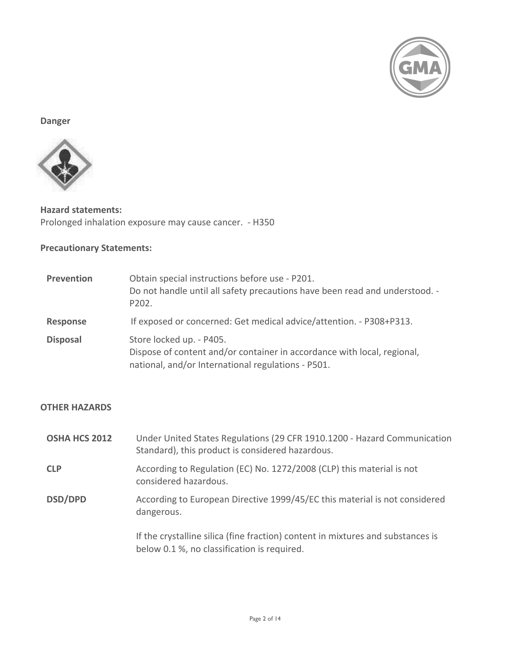

## **Danger**



**Hazard statements:** Prolonged inhalation exposure may cause cancer. - H350

## **Precautionary Statements:**

| Prevention      | Obtain special instructions before use - P201.<br>Do not handle until all safety precautions have been read and understood. -<br>P <sub>202</sub>         |
|-----------------|-----------------------------------------------------------------------------------------------------------------------------------------------------------|
| <b>Response</b> | If exposed or concerned: Get medical advice/attention. - P308+P313.                                                                                       |
| <b>Disposal</b> | Store locked up. - P405.<br>Dispose of content and/or container in accordance with local, regional,<br>national, and/or International regulations - P501. |

## **OTHER HAZARDS**

| <b>OSHA HCS 2012</b> | Under United States Regulations (29 CFR 1910.1200 - Hazard Communication<br>Standard), this product is considered hazardous.   |
|----------------------|--------------------------------------------------------------------------------------------------------------------------------|
| <b>CLP</b>           | According to Regulation (EC) No. 1272/2008 (CLP) this material is not<br>considered hazardous.                                 |
| DSD/DPD              | According to European Directive 1999/45/EC this material is not considered<br>dangerous.                                       |
|                      | If the crystalline silica (fine fraction) content in mixtures and substances is<br>below 0.1 %, no classification is required. |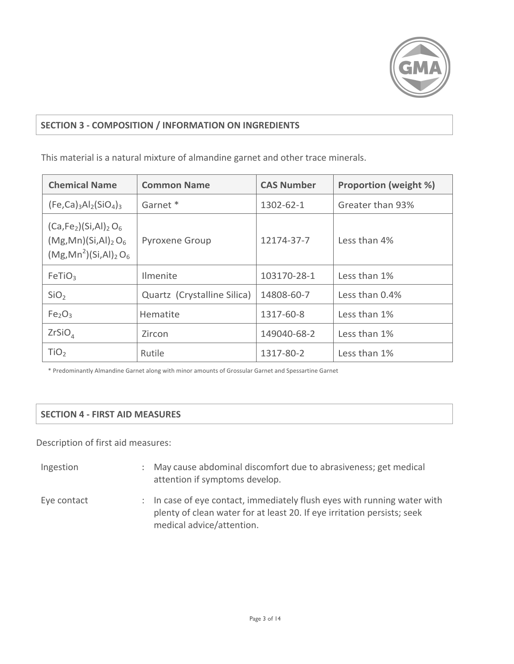

## **SECTION 3 - COMPOSITION / INFORMATION ON INGREDIENTS**

This material is a natural mixture of almandine garnet and other trace minerals.

| <b>Chemical Name</b>                                                       | <b>Common Name</b>          | <b>CAS Number</b> | <b>Proportion (weight %)</b> |
|----------------------------------------------------------------------------|-----------------------------|-------------------|------------------------------|
| $(Fe, Ca)$ <sub>3</sub> Al <sub>2</sub> $(SiO4)$ <sub>3</sub>              | Garnet <sup>*</sup>         | 1302-62-1         | Greater than 93%             |
| $(Ca, Fe2)(Si, Al)2O6$<br>$(Mg, Mn)(Si, Al)2 O6$<br>$(Mg, Mn2)(Si, Al)2O6$ | <b>Pyroxene Group</b>       | 12174-37-7        | Less than 4%                 |
| FeTiO <sub>3</sub>                                                         | <b>Ilmenite</b>             | 103170-28-1       | Less than 1%                 |
| SiO <sub>2</sub>                                                           | Quartz (Crystalline Silica) | 14808-60-7        | Less than 0.4%               |
| Fe <sub>2</sub> O <sub>3</sub>                                             | Hematite                    | 1317-60-8         | Less than 1%                 |
| ZrSiO <sub>A</sub>                                                         | Zircon                      | 149040-68-2       | Less than 1%                 |
| TiO <sub>2</sub>                                                           | Rutile                      | 1317-80-2         | Less than 1%                 |

\* Predominantly Almandine Garnet along with minor amounts of Grossular Garnet and Spessartine Garnet

### **SECTION 4 - FIRST AID MEASURES**

Description of first aid measures:

- Ingestion : May cause abdominal discomfort due to abrasiveness; get medical attention if symptoms develop.
- Eye contact : In case of eye contact, immediately flush eyes with running water with plenty of clean water for at least 20. If eye irritation persists; seek medical advice/attention.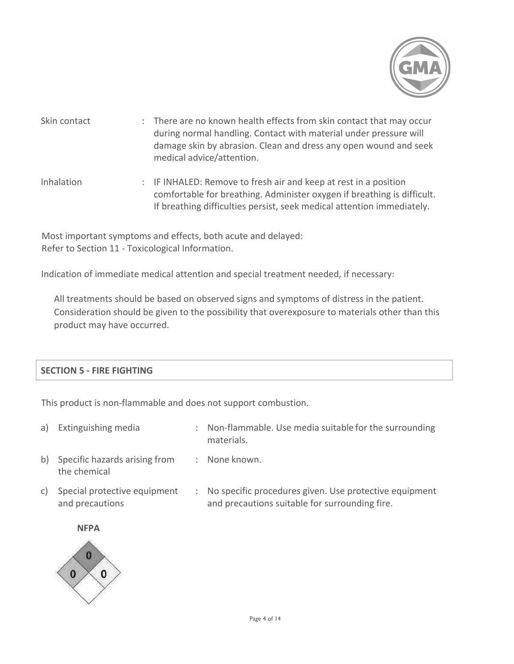

- Skin contact : There are no known health effects from skin contact that may occur during normal handling. Contact with material under pressure will damage skin by abrasion. Clean and dress any open wound and seek medical advice/attention.
- Inhalation : IF INHALED: Remove to fresh air and keep at rest in a position comfortable for breathing. Administer oxygen if breathing is difficult. If breathing difficulties persist, seek medical attention immediately.

Most important symptoms and effects, both acute and delayed: Refer to Section 11 - Toxicological Information.

Indication of immediate medical attention and special treatment needed, if necessary:

All treatments should be based on observed signs and symptoms of distress in the patient. Consideration should be given to the possibility that overexposure to materials other than this product may have occurred.

## **SECTION 5 - FIRE FIGHTING**

This product is non-flammable and does not support combustion.

a) Extinguishing media : Non-flammable. Use media suitable for the surrounding materials. b) Specific hazards arising from : None known. the chemical c) Special protective equipment : No specific procedures given. Use protective equipment and precautions and precautions suitable for surrounding fire. **NFPA** 

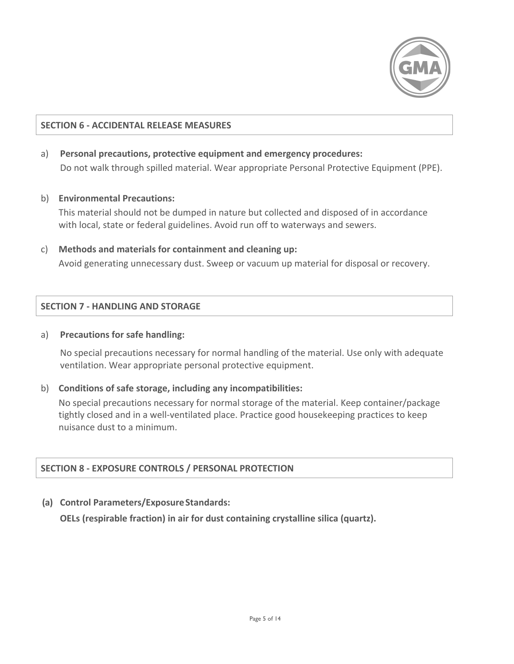

#### **SECTION 6 - ACCIDENTAL RELEASE MEASURES**

- Personal precautions, protective equipment and emergency procedures: a) Do not walk through spilled material. Wear appropriate Personal Protective Equipment (PPE).
- b) Environmental Precautions:

This material should not be dumped in nature but collected and disposed of in accordance with local, state or federal guidelines. Avoid run off to waterways and sewers.

c) Methods and materials for containment and cleaning up: Avoid generating unnecessary dust. Sweep or vacuum up material for disposal or recovery.

### **SECTION 7 - HANDLING AND STORAGE**

#### **Precautions for safe handling:** a)

No special precautions necessary for normal handling of the material. Use only with adequate ventilation. Wear appropriate personal protective equipment.

b) Conditions of safe storage, including any incompatibilities:

No special precautions necessary for normal storage of the material. Keep container/package tightly closed and in a well-ventilated place. Practice good housekeeping practices to keep nuisance dust to a minimum.

## **SECTION 8 - EXPOSURE CONTROLS / PERSONAL PROTECTION**

(a) Control Parameters/Exposure Standards:

OELs (respirable fraction) in air for dust containing crystalline silica (quartz).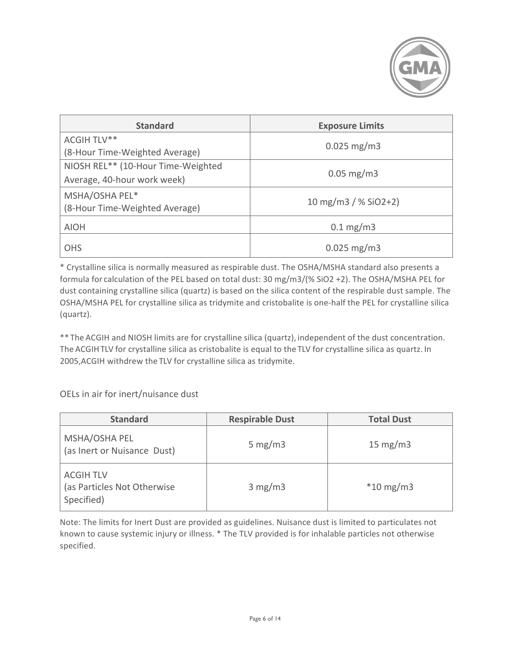

| <b>Standard</b>                                                   | <b>Exposure Limits</b>  |
|-------------------------------------------------------------------|-------------------------|
| ACGIH TLV**<br>(8-Hour Time-Weighted Average)                     | $0.025$ mg/m3           |
| NIOSH REL** (10-Hour Time-Weighted<br>Average, 40-hour work week) | $0.05 \,\mathrm{mg/m3}$ |
| MSHA/OSHA PEL*<br>(8-Hour Time-Weighted Average)                  | 10 mg/m3 / $%$ SiO2+2)  |
| <b>AIOH</b>                                                       | $0.1 \text{ mg/m}$      |
| <b>OHS</b>                                                        | $0.025$ mg/m3           |

\* Crystalline silica is normally measured as respirable dust. The OSHA/MSHA standard also presents a formula for calculation of the PEL based on total dust: 30 mg/m3/(% SiO2 +2). The OSHA/MSHA PEL for dust containing crystalline silica (quartz) is based on the silica content of the respirable dust sample. The OSHA/MSHA PEL for crystalline silica as tridymite and cristobalite is one-half the PEL for crystalline silica (quartz).

\*\* The ACGIH and NIOSH limits are for crystalline silica (quartz), independent of the dust concentration. The ACGIH TLV for crystalline silica as cristobalite is equal to the TLV for crystalline silica as quartz. In 2005, ACGIH withdrew the TLV for crystalline silica as tridymite.

OELs in air for inert/nuisance dust

| <b>Standard</b>                                               | <b>Respirable Dust</b> | <b>Total Dust</b> |
|---------------------------------------------------------------|------------------------|-------------------|
| MSHA/OSHA PEL<br>(as Inert or Nuisance Dust)                  | 5 mg/m $3$             | $15 \text{ mg/m}$ |
| <b>ACGIH TLV</b><br>(as Particles Not Otherwise<br>Specified) | 3 mg/m3                | $*10$ mg/m3       |

Note: The limits for Inert Dust are provided as guidelines. Nuisance dust is limited to particulates not known to cause systemic injury or illness. \* The TLV provided is for inhalable particles not otherwise specified.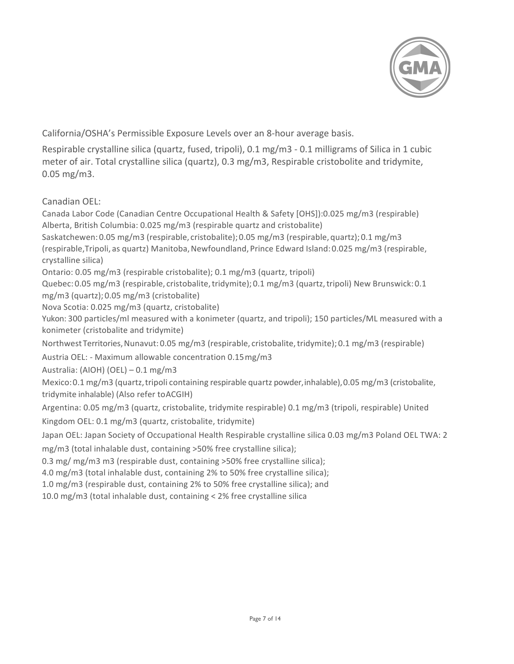

California/OSHA's Permissible Exposure Levels over an 8-hour average basis.

Respirable crystalline silica (quartz, fused, tripoli), 0.1 mg/m3 - 0.1 milligrams of Silica in 1 cubic meter of air. Total crystalline silica (quartz), 0.3 mg/m3, Respirable cristobolite and tridymite,  $0.05$  mg/m3.

Canadian OFL:

Canada Labor Code (Canadian Centre Occupational Health & Safety [OHS]):0.025 mg/m3 (respirable) Alberta, British Columbia: 0.025 mg/m3 (respirable quartz and cristobalite) Saskatchewen: 0.05 mg/m3 (respirable, cristobalite); 0.05 mg/m3 (respirable, quartz); 0.1 mg/m3 (respirable, Tripoli, as quartz) Manitoba, Newfoundland, Prince Edward Island: 0.025 mg/m3 (respirable, crystalline silica) Ontario: 0.05 mg/m3 (respirable cristobalite); 0.1 mg/m3 (quartz, tripoli) Quebec: 0.05 mg/m3 (respirable, cristobalite, tridymite); 0.1 mg/m3 (quartz, tripoli) New Brunswick: 0.1 mg/m3 (quartz); 0.05 mg/m3 (cristobalite) Nova Scotia: 0.025 mg/m3 (quartz, cristobalite) Yukon: 300 particles/ml measured with a konimeter (quartz, and tripoli); 150 particles/ML measured with a konimeter (cristobalite and tridymite) Northwest Territories, Nunavut: 0.05 mg/m3 (respirable, cristobalite, tridymite); 0.1 mg/m3 (respirable) Austria OEL: - Maximum allowable concentration 0.15 mg/m3 Australia: (AIOH) (OEL)  $-0.1$  mg/m3 Mexico: 0.1 mg/m3 (quartz, tripoli containing respirable quartz powder, inhalable), 0.05 mg/m3 (cristobalite, tridymite inhalable) (Also refer toACGIH) Argentina: 0.05 mg/m3 (quartz, cristobalite, tridymite respirable) 0.1 mg/m3 (tripoli, respirable) United Kingdom OEL: 0.1 mg/m3 (quartz, cristobalite, tridymite) Japan OEL: Japan Society of Occupational Health Respirable crystalline silica 0.03 mg/m3 Poland OEL TWA: 2 mg/m3 (total inhalable dust, containing >50% free crystalline silica); 0.3 mg/ mg/m3 m3 (respirable dust, containing >50% free crystalline silica); 4.0 mg/m3 (total inhalable dust, containing 2% to 50% free crystalline silica); 1.0 mg/m3 (respirable dust, containing 2% to 50% free crystalline silica); and 10.0 mg/m3 (total inhalable dust, containing < 2% free crystalline silica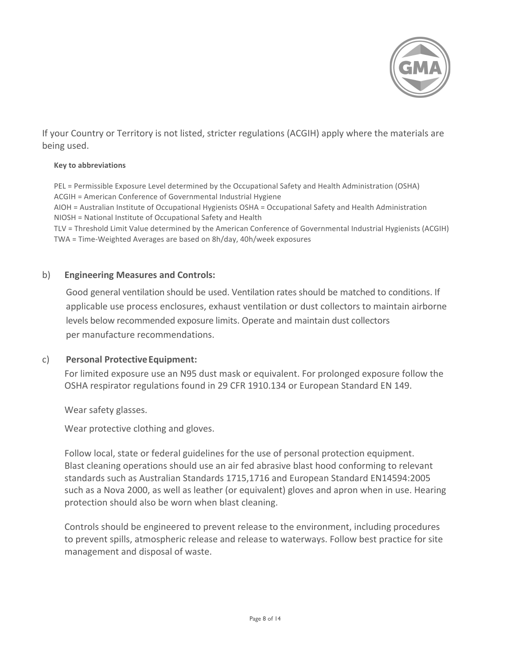

If your Country or Territory is not listed, stricter regulations (ACGIH) apply where the materials are being used.

#### **Key to abbreviations**

PEL = Permissible Exposure Level determined by the Occupational Safety and Health Administration (OSHA) ACGIH = American Conference of Governmental Industrial Hygiene

AIOH = Australian Institute of Occupational Hygienists OSHA = Occupational Safety and Health Administration NIOSH = National Institute of Occupational Safety and Health

TLV = Threshold Limit Value determined by the American Conference of Governmental Industrial Hygienists (ACGIH) TWA = Time-Weighted Averages are based on 8h/day, 40h/week exposures

#### $b)$ **Engineering Measures and Controls:**

Good general ventilation should be used. Ventilation rates should be matched to conditions. If applicable use process enclosures, exhaust ventilation or dust collectors to maintain airborne levels below recommended exposure limits. Operate and maintain dust collectors per manufacture recommendations.

#### **Personal Protective Equipment:**  $\mathsf{C}$

For limited exposure use an N95 dust mask or equivalent. For prolonged exposure follow the OSHA respirator regulations found in 29 CFR 1910.134 or European Standard EN 149.

Wear safety glasses.

Wear protective clothing and gloves.

Follow local, state or federal guidelines for the use of personal protection equipment. Blast cleaning operations should use an air fed abrasive blast hood conforming to relevant standards such as Australian Standards 1715,1716 and European Standard EN14594:2005 such as a Nova 2000, as well as leather (or equivalent) gloves and apron when in use. Hearing protection should also be worn when blast cleaning.

Controls should be engineered to prevent release to the environment, including procedures to prevent spills, atmospheric release and release to waterways. Follow best practice for site management and disposal of waste.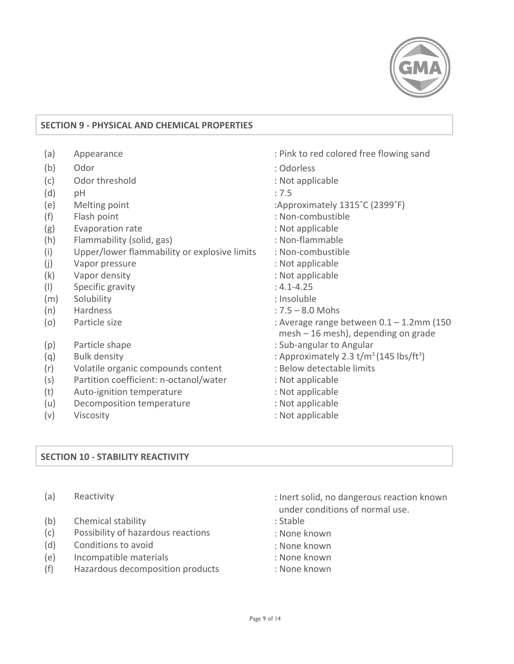

#### **SECTION 9 - PHYSICAL AND CHEMICAL PROPERTIES**

| (a) | Appearance                                   | : Pink to red colored free flowing sand                                            |
|-----|----------------------------------------------|------------------------------------------------------------------------------------|
| (b) | Odor                                         | : Odorless                                                                         |
| (c) | Odor threshold                               | : Not applicable                                                                   |
| (d) | pH                                           | : 7.5                                                                              |
| (e) | Melting point                                | :Approximately 1315°C (2399°F)                                                     |
| (f) | Flash point                                  | : Non-combustible                                                                  |
| (g) | Evaporation rate                             | : Not applicable                                                                   |
| (h) | Flammability (solid, gas)                    | : Non-flammable                                                                    |
| (i) | Upper/lower flammability or explosive limits | : Non-combustible                                                                  |
| (j) | Vapor pressure                               | : Not applicable                                                                   |
| (k) | Vapor density                                | : Not applicable                                                                   |
| (1) | Specific gravity                             | $: 4.1 - 4.25$                                                                     |
| (m) | Solubility                                   | : Insoluble                                                                        |
| (n) | Hardness                                     | $: 7.5 - 8.0$ Mohs                                                                 |
| (o) | Particle size                                | : Average range between $0.1 - 1.2$ mm (150<br>mesh - 16 mesh), depending on grade |
| (p) | Particle shape                               | : Sub-angular to Angular                                                           |
| (q) | <b>Bulk density</b>                          | : Approximately 2.3 $t/m^3$ (145 lbs/ft <sup>3</sup> )                             |
| (r) | Volatile organic compounds content           | : Below detectable limits                                                          |
| (s) | Partition coefficient: n-octanol/water       | : Not applicable                                                                   |
| (t) | Auto-ignition temperature                    | : Not applicable                                                                   |
| (u) | Decomposition temperature                    | : Not applicable                                                                   |
| (v) | Viscosity                                    | : Not applicable                                                                   |
|     |                                              |                                                                                    |

### **SECTION 10 - STABILITY REACTIVITY**

- $(a)$ Reactivity
- $(b)$ Chemical stability
- Possibility of hazardous reactions  $(c)$
- $(d)$ Conditions to avoid
- $(e)$ Incompatible materials
- Hazardous decomposition products  $(f)$
- : Inert solid, no dangerous reaction known
- under conditions of normal use.
- : Stable
- : None known
- : None known
- : None known
- : None known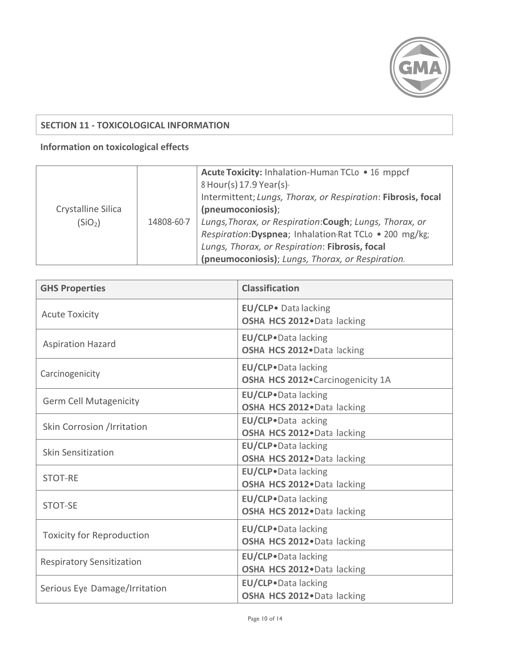

## **SECTION 11 - TOXICOLOGICAL INFORMATION**

## Information on toxicological effects

| Lungs, Thorax, or Respiration: Fibrosis, focal<br>(pneumoconiosis); Lungs, Thorax, or Respiration. | Crystalline Silica<br>(SiO <sub>2</sub> ) | 14808-60-7 | Acute Toxicity: Inhalation-Human TCLo • 16 mppcf<br>8 Hour(s) 17.9 Year(s)<br>Intermittent; Lungs, Thorax, or Respiration: Fibrosis, focal<br>(pneumoconiosis);<br>Lungs, Thorax, or Respiration: Cough; Lungs, Thorax, or<br>Respiration: Dyspnea; Inhalation Rat TCLo . 200 mg/kg; |
|----------------------------------------------------------------------------------------------------|-------------------------------------------|------------|--------------------------------------------------------------------------------------------------------------------------------------------------------------------------------------------------------------------------------------------------------------------------------------|
|----------------------------------------------------------------------------------------------------|-------------------------------------------|------------|--------------------------------------------------------------------------------------------------------------------------------------------------------------------------------------------------------------------------------------------------------------------------------------|

| <b>GHS Properties</b>            | <b>Classification</b>             |
|----------------------------------|-----------------------------------|
| <b>Acute Toxicity</b>            | EU/CLP. Data lacking              |
|                                  | OSHA HCS 2012. Data lacking       |
| <b>Aspiration Hazard</b>         | EU/CLP. Data lacking              |
|                                  | OSHA HCS 2012. Data lacking       |
| Carcinogenicity                  | EU/CLP. Data lacking              |
|                                  | OSHA HCS 2012. Carcinogenicity 1A |
| <b>Germ Cell Mutagenicity</b>    | EU/CLP. Data lacking              |
|                                  | OSHA HCS 2012. Data lacking       |
| Skin Corrosion /Irritation       | EU/CLP.Data acking                |
|                                  | OSHA HCS 2012. Data lacking       |
| Skin Sensitization               | EU/CLP.Data lacking               |
|                                  | OSHA HCS 2012. Data lacking       |
| <b>STOT-RE</b>                   | EU/CLP. Data lacking              |
|                                  | OSHA HCS 2012. Data lacking       |
|                                  | EU/CLP. Data lacking              |
| STOT-SE                          | OSHA HCS 2012. Data lacking       |
|                                  | EU/CLP. Data lacking              |
| <b>Toxicity for Reproduction</b> | OSHA HCS 2012. Data lacking       |
| <b>Respiratory Sensitization</b> | EU/CLP.Data lacking               |
|                                  | OSHA HCS 2012. Data lacking       |
| Serious Eye Damage/Irritation    | EU/CLP. Data lacking              |
|                                  | OSHA HCS 2012. Data lacking       |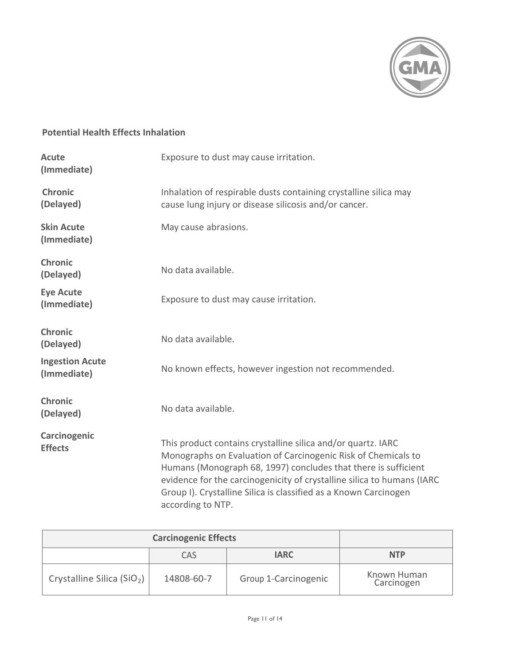

## **Potential Health Effects Inhalation**

| Acute<br>(Immediate)                  | Exposure to dust may cause irritation.                                                                                                                                                                                                                                                                                                                             |  |
|---------------------------------------|--------------------------------------------------------------------------------------------------------------------------------------------------------------------------------------------------------------------------------------------------------------------------------------------------------------------------------------------------------------------|--|
| <b>Chronic</b><br>(Delayed)           | Inhalation of respirable dusts containing crystalline silica may<br>cause lung injury or disease silicosis and/or cancer.                                                                                                                                                                                                                                          |  |
| <b>Skin Acute</b><br>(Immediate)      | May cause abrasions.                                                                                                                                                                                                                                                                                                                                               |  |
| <b>Chronic</b><br>(Delayed)           | No data available.                                                                                                                                                                                                                                                                                                                                                 |  |
| <b>Eye Acute</b><br>(Immediate)       | Exposure to dust may cause irritation.                                                                                                                                                                                                                                                                                                                             |  |
| <b>Chronic</b><br>(Delayed)           | No data available.                                                                                                                                                                                                                                                                                                                                                 |  |
| <b>Ingestion Acute</b><br>(Immediate) | No known effects, however ingestion not recommended.                                                                                                                                                                                                                                                                                                               |  |
| <b>Chronic</b><br>(Delayed)           | No data available.                                                                                                                                                                                                                                                                                                                                                 |  |
| Carcinogenic<br><b>Effects</b>        | This product contains crystalline silica and/or quartz. IARC<br>Monographs on Evaluation of Carcinogenic Risk of Chemicals to<br>Humans (Monograph 68, 1997) concludes that there is sufficient<br>evidence for the carcinogenicity of crystalline silica to humans (IARC<br>Group I). Crystalline Silica is classified as a Known Carcinogen<br>according to NTP. |  |

| <b>Carcinogenic Effects</b>            |            |                      |                           |
|----------------------------------------|------------|----------------------|---------------------------|
|                                        | CAS        | <b>IARC</b>          | <b>NTP</b>                |
| Crystalline Silica (SiO <sub>2</sub> ) | 14808-60-7 | Group 1-Carcinogenic | Known Human<br>Carcinogen |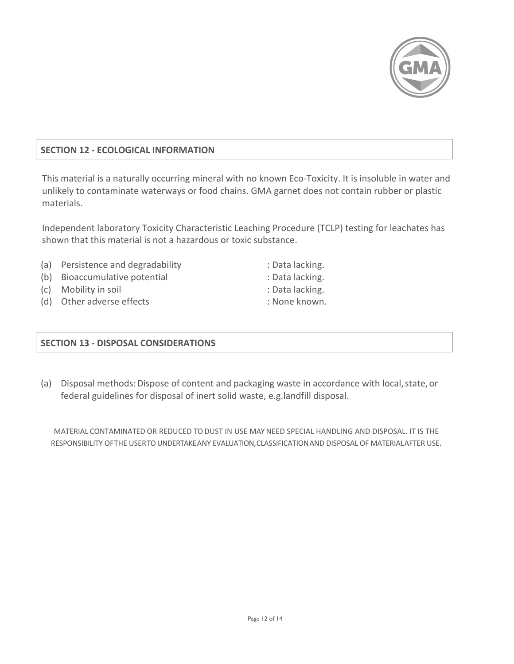#### **SECTION 12 - ECOLOGICAL INFORMATION**

This material is a naturally occurring mineral with no known Eco-Toxicity. It is insoluble in water and unlikely to contaminate waterways or food chains. GMA garnet does not contain rubber or plastic materials.

Independent laboratory Toxicity Characteristic Leaching Procedure (TCLP) testing for leachates has shown that this material is not a hazardous or toxic substance.

(a) Persistence and degradability

- (b) Bioaccumulative potential
- (c) Mobility in soil
- (d) Other adverse effects

**SECTION 13 - DISPOSAL CONSIDERATIONS** 

(a) Disposal methods: Dispose of content and packaging waste in accordance with local, state, or federal guidelines for disposal of inert solid waste, e.g.landfill disposal.

MATERIAL CONTAMINATED OR REDUCED TO DUST IN USE MAY NEED SPECIAL HANDLING AND DISPOSAL. IT IS THE RESPONSIBILITY OF THE USER TO UNDERTAKE ANY EVALUATION, CLASSIFICATION AND DISPOSAL OF MATERIAL AFTER USE.



- : Data lacking.
- : Data lacking.
- : Data lacking.
- : None known.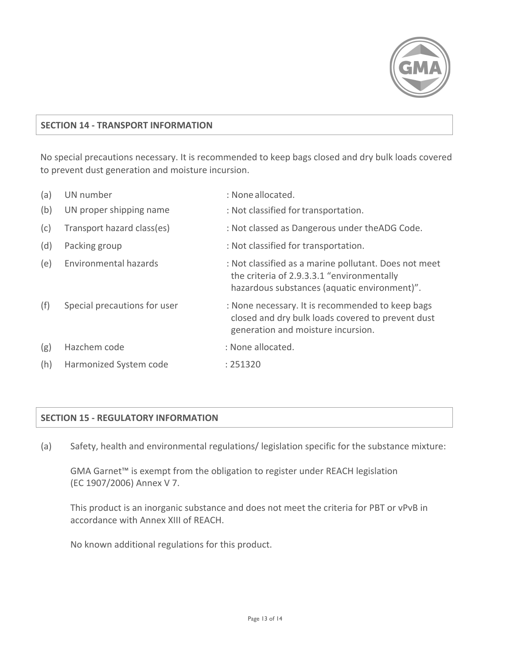

### **SECTION 14 - TRANSPORT INFORMATION**

No special precautions necessary. It is recommended to keep bags closed and dry bulk loads covered to prevent dust generation and moisture incursion.

| (a) | UN number                    | : None allocated.                                                                                                                                   |
|-----|------------------------------|-----------------------------------------------------------------------------------------------------------------------------------------------------|
| (b) | UN proper shipping name      | : Not classified for transportation.                                                                                                                |
| (c) | Transport hazard class(es)   | : Not classed as Dangerous under theADG Code.                                                                                                       |
| (d) | Packing group                | : Not classified for transportation.                                                                                                                |
| (e) | Environmental hazards        | : Not classified as a marine pollutant. Does not meet<br>the criteria of 2.9.3.3.1 "environmentally<br>hazardous substances (aquatic environment)". |
| (f) | Special precautions for user | : None necessary. It is recommended to keep bags<br>closed and dry bulk loads covered to prevent dust<br>generation and moisture incursion.         |
| (g) | Hazchem code                 | : None allocated.                                                                                                                                   |
| (h) | Harmonized System code       | : 251320                                                                                                                                            |

## **SECTION 15 - REGULATORY INFORMATION**

 $(a)$ Safety, health and environmental regulations/ legislation specific for the substance mixture:

GMA Garnet<sup>™</sup> is exempt from the obligation to register under REACH legislation (EC 1907/2006) Annex V 7.

This product is an inorganic substance and does not meet the criteria for PBT or vPvB in accordance with Annex XIII of REACH.

No known additional regulations for this product.